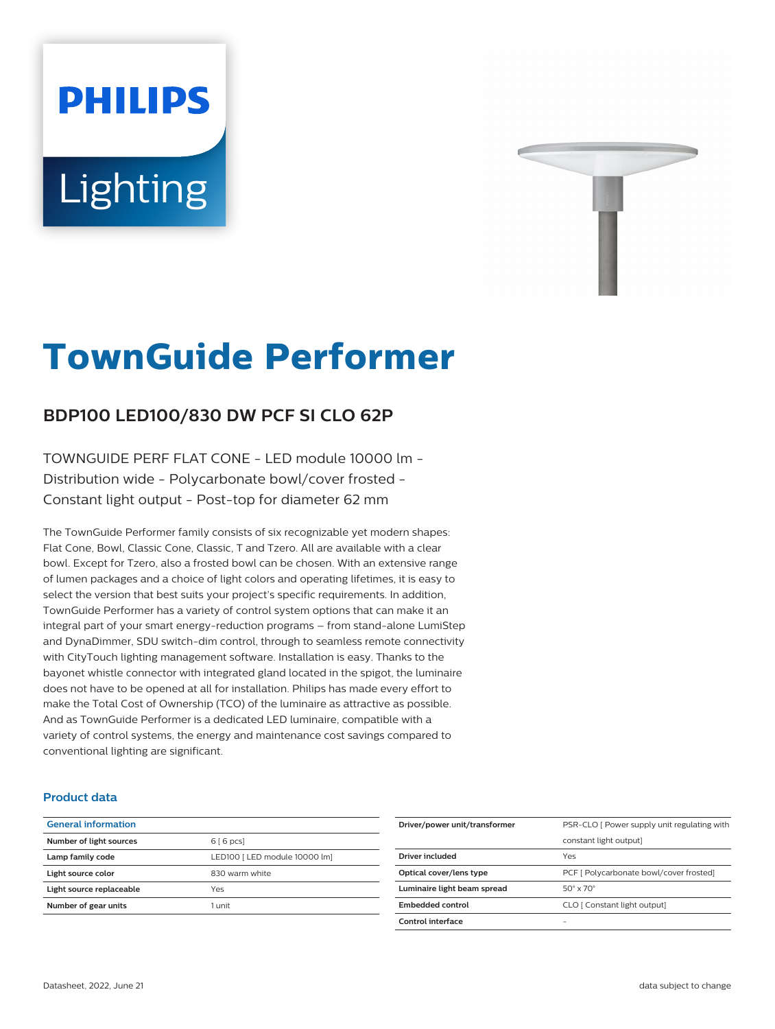# Lighting

**PHILIPS** 



# **TownGuide Performer**

# **BDP100 LED100/830 DW PCF SI CLO 62P**

TOWNGUIDE PERF FLAT CONE - LED module 10000 lm - Distribution wide - Polycarbonate bowl/cover frosted - Constant light output - Post-top for diameter 62 mm

The TownGuide Performer family consists of six recognizable yet modern shapes: Flat Cone, Bowl, Classic Cone, Classic, T and Tzero. All are available with a clear bowl. Except for Tzero, also a frosted bowl can be chosen. With an extensive range of lumen packages and a choice of light colors and operating lifetimes, it is easy to select the version that best suits your project's specific requirements. In addition, TownGuide Performer has a variety of control system options that can make it an integral part of your smart energy-reduction programs – from stand-alone LumiStep and DynaDimmer, SDU switch-dim control, through to seamless remote connectivity with CityTouch lighting management software. Installation is easy. Thanks to the bayonet whistle connector with integrated gland located in the spigot, the luminaire does not have to be opened at all for installation. Philips has made every effort to make the Total Cost of Ownership (TCO) of the luminaire as attractive as possible. And as TownGuide Performer is a dedicated LED luminaire, compatible with a variety of control systems, the energy and maintenance cost savings compared to conventional lighting are significant.

#### **Product data**

| <b>General information</b> |                               |
|----------------------------|-------------------------------|
| Number of light sources    | 6 [6 pcs]                     |
| Lamp family code           | LED100 [ LED module 10000 lm] |
| Light source color         | 830 warm white                |
| Light source replaceable   | Yes                           |
| Number of gear units       | 1 unit                        |
|                            |                               |

| Driver/power unit/transformer | PSR-CLO   Power supply unit regulating with |
|-------------------------------|---------------------------------------------|
|                               | constant light output]                      |
| Driver included               | Yes                                         |
| Optical cover/lens type       | PCF [ Polycarbonate bowl/cover frosted]     |
| Luminaire light beam spread   | $50^\circ \times 70^\circ$                  |
| Embedded control              | CLO [ Constant light output]                |
| Control interface             | -                                           |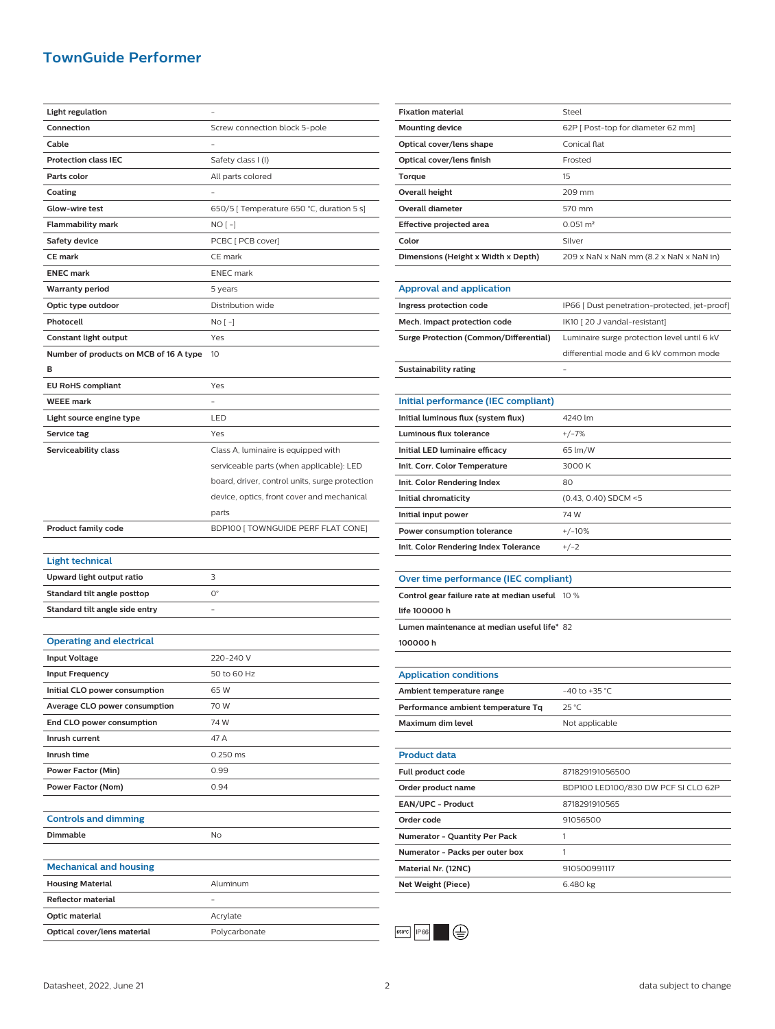## **TownGuide Performer**

| Light regulation                       |                                                |
|----------------------------------------|------------------------------------------------|
| Connection                             | Screw connection block 5-pole                  |
| Cable                                  |                                                |
| <b>Protection class IEC</b>            | Safety class I (I)                             |
| Parts color                            | All parts colored                              |
| Coating                                |                                                |
| Glow-wire test                         | 650/5 [ Temperature 650 °C, duration 5 s]      |
| Flammability mark                      | NO [ -]                                        |
| <b>Safety device</b>                   | PCBC [ PCB cover]                              |
| <b>CE mark</b>                         | CE mark                                        |
| <b>ENEC mark</b>                       | <b>ENEC</b> mark                               |
|                                        | 5 years                                        |
| <b>Warranty period</b>                 | Distribution wide                              |
| Optic type outdoor<br>Photocell        |                                                |
|                                        | $No[-]$                                        |
| Constant light output                  | Yes                                            |
| Number of products on MCB of 16 A type | 10                                             |
| в                                      |                                                |
| <b>EU RoHS compliant</b>               | Yes                                            |
| <b>WEEE mark</b>                       |                                                |
| Light source engine type               | LED                                            |
| Service tag                            | Yes                                            |
| Serviceability class                   | Class A, luminaire is equipped with            |
|                                        | serviceable parts (when applicable): LED       |
|                                        | board, driver, control units, surge protection |
|                                        | device, optics, front cover and mechanical     |
|                                        | parts                                          |
|                                        |                                                |
| <b>Product family code</b>             | BDP100 [ TOWNGUIDE PERF FLAT CONE]             |
|                                        |                                                |
| <b>Light technical</b>                 |                                                |
| Upward light output ratio              | 3                                              |
| Standard tilt angle posttop            | $O^{\circ}$                                    |
| Standard tilt angle side entry         |                                                |
|                                        |                                                |
| <b>Operating and electrical</b>        |                                                |
| <b>Input Voltage</b>                   | 220-240 V                                      |
| <b>Input Frequency</b>                 | 50 to 60 Hz                                    |
| Initial CLO power consumption          | 65W                                            |
| Average CLO power consumption          | 70 W                                           |
| End CLO power consumption              | 74 W                                           |
| Inrush current                         | 47 A                                           |
| Inrush time                            | 0.250 ms                                       |
| Power Factor (Min)                     | 0.99                                           |
| Power Factor (Nom)                     | 0.94                                           |
|                                        |                                                |
| <b>Controls and dimming</b>            |                                                |
| Dimmable                               | No                                             |
|                                        |                                                |
| <b>Mechanical and housing</b>          |                                                |
| <b>Housing Material</b>                | Aluminum                                       |
| <b>Reflector material</b>              |                                                |
| Optic material                         | Acrylate                                       |

| <b>Fixation material</b>                        | Steel                                         |  |
|-------------------------------------------------|-----------------------------------------------|--|
| <b>Mounting device</b>                          | 62P [ Post-top for diameter 62 mm]            |  |
| Optical cover/lens shape                        | Conical flat                                  |  |
| Optical cover/lens finish                       | Frosted                                       |  |
| Torque                                          | 15                                            |  |
| <b>Overall height</b>                           | 209 mm                                        |  |
| <b>Overall diameter</b>                         | 570 mm                                        |  |
| Effective projected area                        | $0.051 \,\mathrm{m}^2$                        |  |
| Color                                           | Silver                                        |  |
| Dimensions (Height x Width x Depth)             | 209 x NaN x NaN mm (8.2 x NaN x NaN in)       |  |
|                                                 |                                               |  |
| <b>Approval and application</b>                 |                                               |  |
| Ingress protection code                         | IP66 [ Dust penetration-protected, jet-proof] |  |
| Mech. impact protection code                    | IK10 [20 J vandal-resistant]                  |  |
| <b>Surge Protection (Common/Differential)</b>   | Luminaire surge protection level until 6 kV   |  |
|                                                 | differential mode and 6 kV common mode        |  |
| <b>Sustainability rating</b>                    |                                               |  |
|                                                 |                                               |  |
| Initial performance (IEC compliant)             |                                               |  |
| Initial luminous flux (system flux)             | 4240 lm                                       |  |
| Luminous flux tolerance                         | $+/-7%$                                       |  |
| Initial LED luminaire efficacy                  | 65 lm/W                                       |  |
| Init. Corr. Color Temperature                   | 3000 K                                        |  |
| Init. Color Rendering Index                     | 80                                            |  |
| Initial chromaticity                            | (0.43, 0.40) SDCM <5                          |  |
| Initial input power                             | 74 W                                          |  |
| Power consumption tolerance                     | $+/-10%$                                      |  |
| Init. Color Rendering Index Tolerance           | $+/-2$                                        |  |
|                                                 |                                               |  |
| Over time performance (IEC compliant)           |                                               |  |
| Control gear failure rate at median useful 10 % |                                               |  |
| life 100000 h                                   |                                               |  |
| Lumen maintenance at median useful life* 82     |                                               |  |
| 100000h                                         |                                               |  |
|                                                 |                                               |  |
| <b>Application conditions</b>                   |                                               |  |
| Ambient temperature range                       | -40 to +35 $^{\circ}$ C                       |  |
| Performance ambient temperature Tq              | 25 °C                                         |  |
| Maximum dim level                               | Not applicable                                |  |
|                                                 |                                               |  |
| <b>Product data</b>                             |                                               |  |
| Full product code                               | 871829191056500                               |  |
| Order product name                              | BDP100 LED100/830 DW PCF SI CLO 62P           |  |
| EAN/UPC - Product                               | 8718291910565                                 |  |
| Order code                                      | 91056500                                      |  |
| Numerator - Quantity Per Pack                   | 1                                             |  |
| Numerator - Packs per outer box                 | 1                                             |  |
| Material Nr. (12NC)                             | 910500991117                                  |  |
| <b>Net Weight (Piece)</b>                       | 6.480 kg                                      |  |
|                                                 |                                               |  |